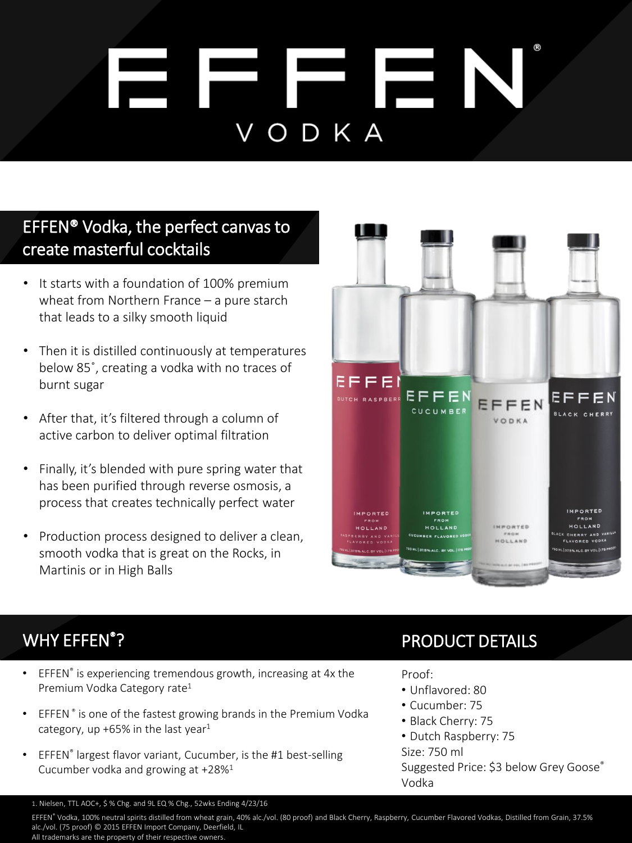# Ħ F. E VODKA

### EFFEN® Vodka, the perfect canvas to create masterful cocktails

- It starts with a foundation of 100% premium wheat from Northern France – a pure starch that leads to a silky smooth liquid
- Then it is distilled continuously at temperatures below 85˚, creating a vodka with no traces of burnt sugar
- After that, it's filtered through a column of active carbon to deliver optimal filtration
- Finally, it's blended with pure spring water that has been purified through reverse osmosis, a process that creates technically perfect water
- Production process designed to deliver a clean, smooth vodka that is great on the Rocks, in Martinis or in High Balls



## WHY EFFEN<sup>®</sup>?

- EFFEN® is experiencing tremendous growth, increasing at 4x the Premium Vodka Category rate<sup>1</sup>
- EFFEN<sup>®</sup> is one of the fastest growing brands in the Premium Vodka category, up +65% in the last year $1$
- EFFEN® largest flavor variant, Cucumber, is the #1 best-selling Cucumber vodka and growing at +28%<sup>1</sup>

### PRODUCT DETAILS

#### Proof:

- Unflavored: 80
- Cucumber: 75
- Black Cherry: 75
- Dutch Raspberry: 75
- Size: 750 ml

Suggested Price: \$3 below Grey Goose® Vodka

1. Nielsen, TTL AOC+, \$ % Chg. and 9L EQ % Chg., 52wks Ending 4/23/16

EFFEN® Vodka, 100% neutral spirits distilled from wheat grain, 40% alc./vol. (80 proof) and Black Cherry, Raspberry, Cucumber Flavored Vodkas, Distilled from Grain, 37.5% alc./vol. (75 proof) © 2015 EFFEN Import Company, Deerfield, IL All trademarks are the property of their respective owners.